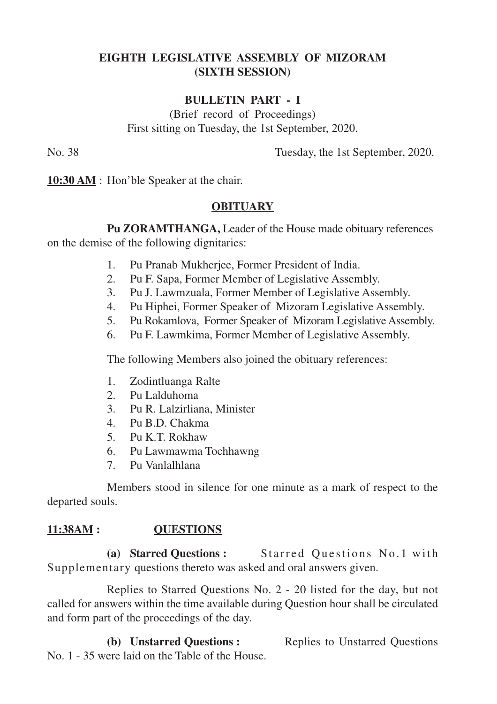# **EIGHTH LEGISLATIVE ASSEMBLY OF MIZORAM (SIXTH SESSION)**

# **BULLETIN PART - I**

(Brief record of Proceedings) First sitting on Tuesday, the 1st September, 2020.

No. 38 Tuesday, the 1st September, 2020.

**10:30 AM** : Hon'ble Speaker at the chair.

# **OBITUARY**

**Pu ZORAMTHANGA,** Leader of the House made obituary references on the demise of the following dignitaries:

- 1. Pu Pranab Mukherjee, Former President of India.
- 2. Pu F. Sapa, Former Member of Legislative Assembly.
- 3. Pu J. Lawmzuala, Former Member of Legislative Assembly.
- 4. Pu Hiphei, Former Speaker of Mizoram Legislative Assembly.
- 5. Pu Rokamlova, Former Speaker of Mizoram Legislative Assembly.
- 6. Pu F. Lawmkima, Former Member of Legislative Assembly.

The following Members also joined the obituary references:

- 1. Zodintluanga Ralte
- 2. Pu Lalduhoma
- 3. Pu R. Lalzirliana, Minister
- 4. Pu B.D. Chakma
- 5. Pu K.T. Rokhaw
- 6. Pu Lawmawma Tochhawng
- 7. Pu Vanlalhlana

Members stood in silence for one minute as a mark of respect to the departed souls.

# **11:38AM : QUESTIONS**

**(a) Starred Questions :** Starred Questions No. 1 with Supplementary questions thereto was asked and oral answers given.

Replies to Starred Questions No. 2 - 20 listed for the day, but not called for answers within the time available during Question hour shall be circulated and form part of the proceedings of the day.

**(b) Unstarred Questions :** Replies to Unstarred Questions No. 1 - 35 were laid on the Table of the House.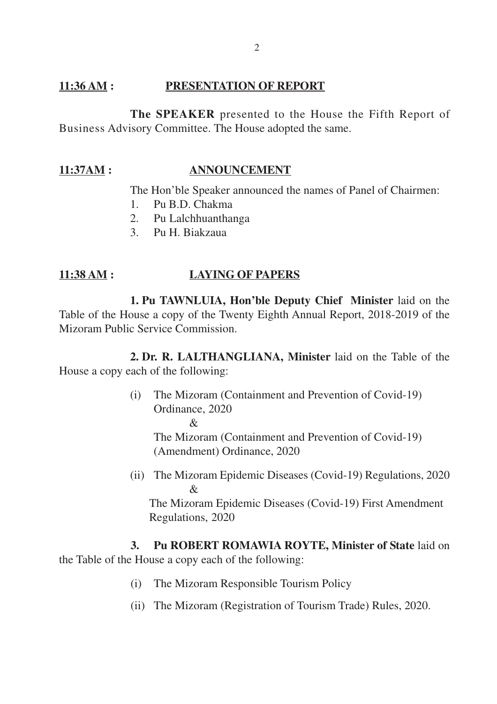#### **11:36 AM : PRESENTATION OF REPORT**

**The SPEAKER** presented to the House the Fifth Report of Business Advisory Committee. The House adopted the same.

### **11:37AM : ANNOUNCEMENT**

The Hon'ble Speaker announced the names of Panel of Chairmen:

- 1. Pu B.D. Chakma
- 2. Pu Lalchhuanthanga
- 3. Pu H. Biakzaua

### **11:38 AM : LAYING OF PAPERS**

**1. Pu TAWNLUIA, Hon'ble Deputy Chief Minister** laid on the Table of the House a copy of the Twenty Eighth Annual Report, 2018-2019 of the Mizoram Public Service Commission.

**2. Dr. R. LALTHANGLIANA, Minister** laid on the Table of the House a copy each of the following:

> (i) The Mizoram (Containment and Prevention of Covid-19) Ordinance, 2020  $\mathcal{R}$ The Mizoram (Containment and Prevention of Covid-19)

(Amendment) Ordinance, 2020

(ii) The Mizoram Epidemic Diseases (Covid-19) Regulations, 2020 & The Mizoram Epidemic Diseases (Covid-19) First Amendment Regulations, 2020

**3. Pu ROBERT ROMAWIA ROYTE, Minister of State** laid on the Table of the House a copy each of the following:

- (i) The Mizoram Responsible Tourism Policy
- (ii) The Mizoram (Registration of Tourism Trade) Rules, 2020.